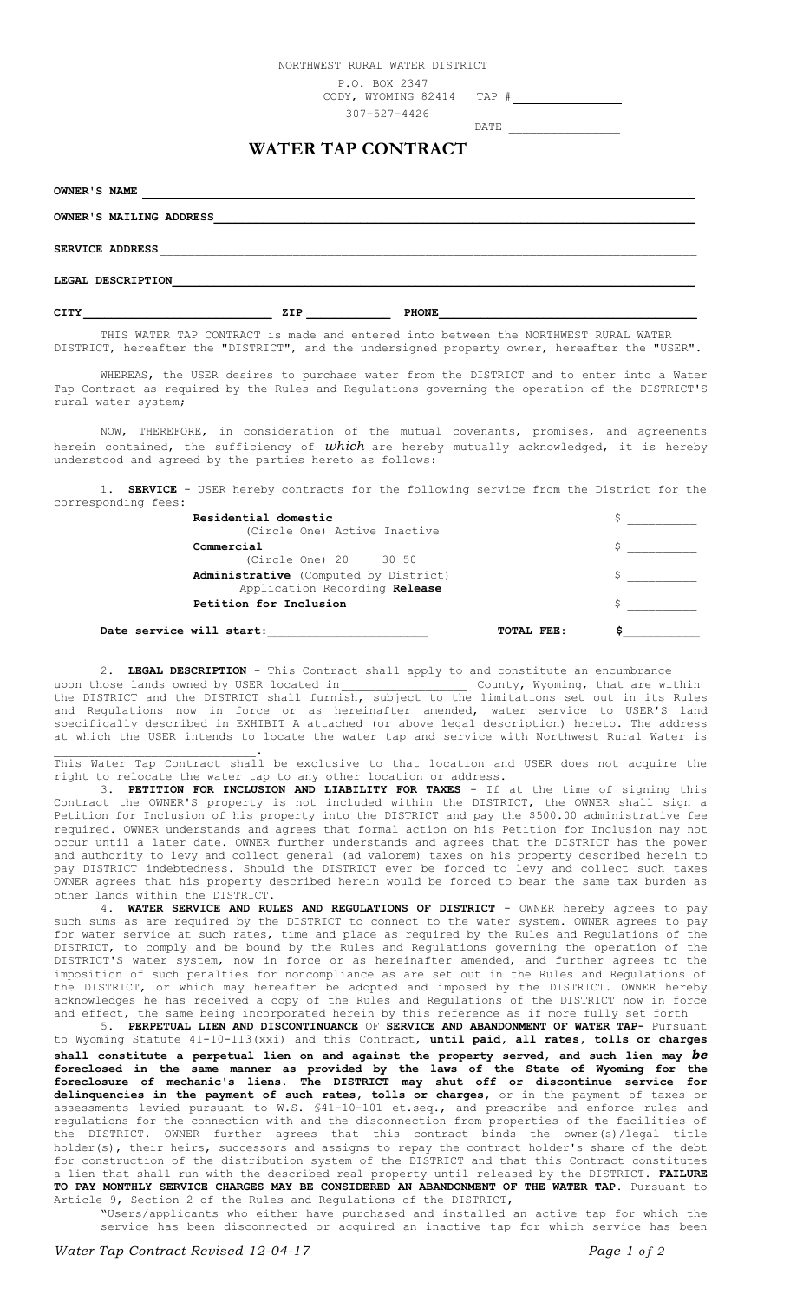NORTHWEST RURAL WATER DISTRICT

P.O. BOX 2347

CODY, WYOMING 82414 TAP #

307-527-4426

DATE \_\_

## **WATER TAP CONTRACT**

**OWNER'S NAME** OWNER'S MAILING ADDRESS SERVICE ADDRESS **LEGAL DESCRIPTION\_\_\_\_\_\_\_\_\_\_\_\_\_\_\_\_\_\_\_\_\_\_\_\_\_\_\_\_\_\_\_\_\_\_\_\_\_\_\_\_\_\_\_\_\_\_\_\_\_\_\_\_\_\_\_\_\_\_\_\_\_\_\_\_\_\_\_\_\_\_\_\_\_\_\_ CITY \_\_\_\_\_\_\_\_\_\_\_\_\_\_\_\_\_\_\_\_\_\_\_\_\_\_\_ ZIP \_\_\_\_\_\_\_\_\_\_\_\_ PHONE\_\_\_\_\_\_\_\_\_\_\_\_\_\_\_\_\_\_\_\_\_\_\_\_\_\_\_\_\_\_\_\_\_\_\_\_\_**

THIS WATER TAP CONTRACT is made and entered into between the NORTHWEST RURAL WATER DISTRICT, hereafter the "DISTRICT", and the undersigned property owner, hereafter the "USER".

WHEREAS, the USER desires to purchase water from the DISTRICT and to enter into a Water Tap Contract as required by the Rules and Regulations governing the operation of the DISTRICT'S rural water system;

NOW, THEREFORE, in consideration of the mutual covenants, promises, and agreements herein contained, the sufficiency of *which* are hereby mutually acknowledged, it is hereby understood and agreed by the parties hereto as follows:

1. **SERVICE** - USER hereby contracts for the following service from the District for the corresponding fees:

| Residential domestic                                                   |  |
|------------------------------------------------------------------------|--|
| (Circle One) Active Inactive                                           |  |
| Commercial                                                             |  |
| (Circle One) 20 30 50                                                  |  |
| Administrative (Computed by District)<br>Application Recording Release |  |
| Petition for Inclusion                                                 |  |
| Date service will start:<br>TOTAL FEE:                                 |  |

2. **LEGAL DESCRIPTION** - This Contract shall apply to and constitute an encumbrance upon those lands owned by USER located in \_\_\_\_\_\_\_\_\_\_\_\_\_\_\_\_\_\_\_\_\_\_\_\_\_ County, Wyoming, that are wi upon those lands owned by USER located in The County, Wyoming, that are within the DISTRICT and the DISTRICT shall furnish, subject to the limitations set out in its Rules and Regulations now in force or as hereinafter amended, water service to USER'S land specifically described in EXHIBIT A attached (or above legal description) hereto. The address at which the USER intends to locate the water tap and service with Northwest Rural Water is

 $\mathcal{L}_\text{max}$  and  $\mathcal{L}_\text{max}$  and  $\mathcal{L}_\text{max}$  and  $\mathcal{L}_\text{max}$ This Water Tap Contract shall be exclusive to that location and USER does not acquire the right to relocate the water tap to any other location or address.<br>3. PETITION FOR INCLUSION AND LIABILITY FOR TAXES - If

**PETITION FOR INCLUSION AND LIABILITY FOR TAXES** - If at the time of signing this Contract the OWNER'S property is not included within the DISTRICT, the OWNER shall sign a Petition for Inclusion of his property into the DISTRICT and pay the \$500.00 administrative fee required. OWNER understands and agrees that formal action on his Petition for Inclusion may not occur until a later date. OWNER further understands and agrees that the DISTRICT has the power and authority to levy and collect general (ad valorem) taxes on his property described herein to pay DISTRICT indebtedness. Should the DISTRICT ever be forced to levy and collect such taxes OWNER agrees that his property described herein would be forced to bear the same tax burden as other lands within the DISTRICT.

4. **WATER SERVICE AND RULES AND REGULATIONS OF DISTRICT** - OWNER hereby agrees to pay such sums as are required by the DISTRICT to connect to the water system. OWNER agrees to pay for water service at such rates, time and place as required by the Rules and Regulations of the DISTRICT, to comply and be bound by the Rules and Regulations governing the operation of the DISTRICT'S water system, now in force or as hereinafter amended, and further agrees to the imposition of such penalties for noncompliance as are set out in the Rules and Regulations of the DISTRICT, or which may hereafter be adopted and imposed by the DISTRICT. OWNER hereby acknowledges he has received a copy of the Rules and Regulations of the DISTRICT now in force and effect, the same being incorporated herein by this reference as if more fully set forth

5. **PERPETUAL LIEN AND DISCONTINUANCE** OF **SERVICE AND ABANDONMENT OF WATER TAP-** Pursuant to Wyoming Statute 41-10-113(xxi) and this Contract, **until paid, all rates, tolls or charges shall constitute a perpetual lien on and against the property served, and such lien may** *be*  **foreclosed in the same manner as provided by the laws of the State of Wyoming for the foreclosure of mechanic's liens. The DISTRICT may shut off or discontinue service for delinquencies in the payment of such rates, tolls or charges,** or in the payment of taxes or assessments levied pursuant to W.S. §41-10-101 et.seq., and prescribe and enforce rules and regulations for the connection with and the disconnection from properties of the facilities of the DISTRICT. OWNER further agrees that this contract binds the owner(s)/legal title holder(s), their heirs, successors and assigns to repay the contract holder's share of the debt for construction of the distribution system of the DISTRICT and that this Contract constitutes a lien that shall run with the described real property until released by the DISTRICT. **FAILURE TO PAY MONTHLY SERVICE CHARGES MAY BE CONSIDERED AN ABANDONMENT OF THE WATER TAP.** Pursuant to Article 9, Section 2 of the Rules and Regulations of the DISTRICT,

"Users/applicants who either have purchased and installed an active tap for which the service has been disconnected or acquired an inactive tap for which service has been